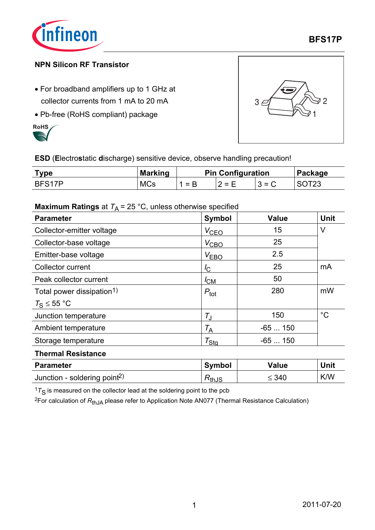

**BFS17P**

### **NPN Silicon RF Transistor**

- For broadband amplifiers up to 1 GHz at collector currents from 1 mA to 20 mA
- Pb-free (RoHS compliant) package





**ESD** (**E**lectro**s**tatic **d**ischarge) sensitive device, observe handling precaution!

| ™vpe   | <b>Marking</b> | <b>Pin Configuration</b> |         |         | Package |
|--------|----------------|--------------------------|---------|---------|---------|
| BFS17P | <b>MCs</b>     | 1 = B                    | $2 = F$ | $3 = C$ |         |

### **Maximum Ratings** at  $T_A = 25 \degree C$ , unless otherwise specified

| <b>Parameter</b>                      | <b>Symbol</b>         | <b>Value</b> | <b>Unit</b> |  |
|---------------------------------------|-----------------------|--------------|-------------|--|
| Collector-emitter voltage             | $V_{\text{CEO}}$      | 15           | V           |  |
| Collector-base voltage                | $V_{\text{CBO}}$      | 25           |             |  |
| Emitter-base voltage                  | $V_{EBO}$             | 2.5          |             |  |
| <b>Collector current</b>              | $I_{\rm C}$           | 25           | mA          |  |
| Peak collector current                | $I_{CM}$              | 50           |             |  |
| Total power dissipation <sup>1)</sup> | $P_{\text{tot}}$      | 280          | mW          |  |
| $T_{\rm S} \leq 55$ °C                |                       |              |             |  |
| Junction temperature                  | $T_{\rm J}$           | 150          | $^{\circ}C$ |  |
| Ambient temperature                   | $\tau_{\sf A}$        | $-65150$     |             |  |
| Storage temperature                   | $\tau_{\textsf{Stg}}$ | $-65150$     |             |  |
| <b>Thermal Resistance</b>             |                       |              |             |  |

| <b>Parameter</b>                         | <b>Symbol</b> | <b>Value</b> | Unit       |
|------------------------------------------|---------------|--------------|------------|
| Junction - soldering point <sup>2)</sup> | ™thJS         | ≤ 340        | <b>K/W</b> |

 $17<sub>S</sub>$  is measured on the collector lead at the soldering point to the pcb

<sup>2</sup>For calculation of  $R_{thJA}$  please refer to Application Note AN077 (Thermal Resistance Calculation)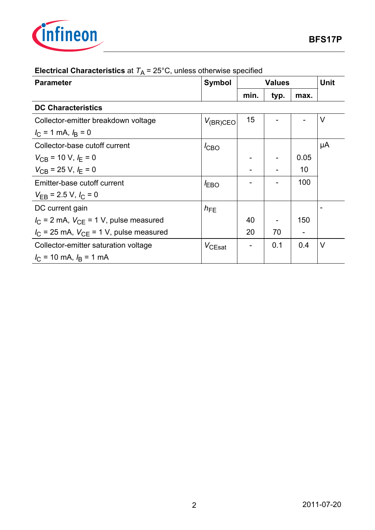

| <b>Parameter</b>                                        | <b>Symbol</b> | <b>Values</b> |      | Unit |        |
|---------------------------------------------------------|---------------|---------------|------|------|--------|
|                                                         |               | min.          | typ. | max. |        |
| <b>DC Characteristics</b>                               |               |               |      |      |        |
| Collector-emitter breakdown voltage                     | $V_{(BR)CEO}$ | 15            |      |      | $\vee$ |
| $I_{\rm C}$ = 1 mA, $I_{\rm B}$ = 0                     |               |               |      |      |        |
| Collector-base cutoff current                           | $I_{CBO}$     |               |      |      | μA     |
| $V_{\text{CB}}$ = 10 V, $I_{\text{F}}$ = 0              |               |               |      | 0.05 |        |
| $V_{\text{CB}}$ = 25 V, $I_{\text{F}}$ = 0              |               |               |      | 10   |        |
| Emitter-base cutoff current                             | $I_{EBO}$     |               |      | 100  |        |
| $V_{\text{FB}}$ = 2.5 V, $I_{\text{C}}$ = 0             |               |               |      |      |        |
| DC current gain                                         | $h_{FE}$      |               |      |      |        |
| $I_{\rm C}$ = 2 mA, $V_{\rm CF}$ = 1 V, pulse measured  |               | 40            |      | 150  |        |
| $I_{\rm C}$ = 25 mA, $V_{\rm CE}$ = 1 V, pulse measured |               | 20            | 70   |      |        |
| Collector-emitter saturation voltage                    | $V_{CEsat}$   |               | 0.1  | 0.4  | $\vee$ |
| $I_C = 10$ mA, $I_B = 1$ mA                             |               |               |      |      |        |

# **Electrical Characteristics** at  $T_A = 25^{\circ}$ C, unless otherwise specified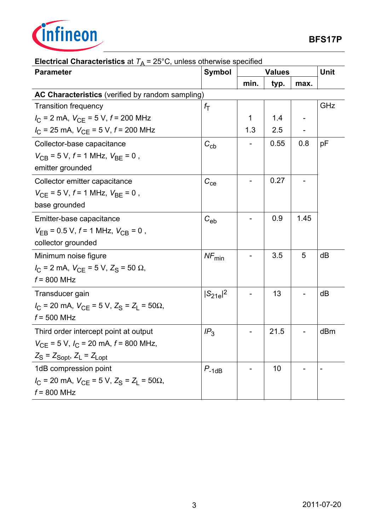

| <b>Parameter</b>                                                                   | <b>Symbol</b>    | <b>Values</b> |      | <b>Unit</b> |     |
|------------------------------------------------------------------------------------|------------------|---------------|------|-------------|-----|
|                                                                                    |                  | min.          | typ. | max.        |     |
| AC Characteristics (verified by random sampling)                                   |                  |               |      |             |     |
| <b>Transition frequency</b>                                                        | $f_{\mathsf{T}}$ |               |      |             | GHz |
| $I_{\rm C}$ = 2 mA, $V_{\rm CE}$ = 5 V, $f$ = 200 MHz                              |                  | 1             | 1.4  |             |     |
| $I_{\rm C}$ = 25 mA, $V_{\rm CE}$ = 5 V, $f$ = 200 MHz                             |                  | 1.3           | 2.5  |             |     |
| Collector-base capacitance                                                         | $C_{\rm cb}$     |               | 0.55 | 0.8         | pF  |
| $V_{CB} = 5 V$ , $f = 1$ MHz, $V_{BE} = 0$ ,                                       |                  |               |      |             |     |
| emitter grounded                                                                   |                  |               |      |             |     |
| Collector emitter capacitance                                                      | $C_{ce}$         |               | 0.27 |             |     |
| $V_{\text{CE}}$ = 5 V, $f$ = 1 MHz, $V_{\text{BE}}$ = 0,                           |                  |               |      |             |     |
| base grounded                                                                      |                  |               |      |             |     |
| Emitter-base capacitance                                                           | $C_{eb}$         |               | 0.9  | 1.45        |     |
| $V_{\text{FB}}$ = 0.5 V, $f$ = 1 MHz, $V_{\text{CB}}$ = 0,                         |                  |               |      |             |     |
| collector grounded                                                                 |                  |               |      |             |     |
| Minimum noise figure                                                               | $NF_{min}$       |               | 3.5  | 5           | dB  |
| $I_{\rm C}$ = 2 mA, $V_{\rm CE}$ = 5 V, $Z_{\rm S}$ = 50 $\Omega$ ,                |                  |               |      |             |     |
| $f = 800$ MHz                                                                      |                  |               |      |             |     |
| Transducer gain                                                                    | $ S_{21e} ^2$    |               | 13   |             | dB  |
| $I_{\rm C}$ = 20 mA, $V_{\rm CE}$ = 5 V, $Z_{\rm S}$ = $Z_{\rm L}$ = 50 $\Omega$ , |                  |               |      |             |     |
| $f = 500$ MHz                                                                      |                  |               |      |             |     |
| Third order intercept point at output                                              | IP <sub>3</sub>  |               | 21.5 |             | dBm |
| $V_{\text{CE}}$ = 5 V, $I_{\text{C}}$ = 20 mA, $f$ = 800 MHz,                      |                  |               |      |             |     |
| $Z_{\rm S}$ = $Z_{\rm{Sopt}}$ , $Z_{\rm{L}}$ = $Z_{\rm{Lopt}}$                     |                  |               |      |             |     |
| 1dB compression point                                                              | $P_{-1dB}$       |               | 10   |             |     |
| $I_{\rm C}$ = 20 mA, $V_{\rm CE}$ = 5 V, $Z_{\rm S}$ = $Z_{\rm L}$ = 50 $\Omega$ , |                  |               |      |             |     |
| $f = 800$ MHz                                                                      |                  |               |      |             |     |

## **Electrical Characteristics** at  $T_A = 25^\circ \text{C}$ , unless otherwise specified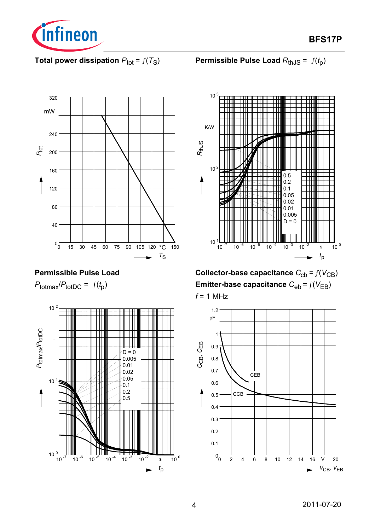

**BFS17P**

## **Total power dissipation**  $P_{\text{tot}} = f(T_S)$





## **Permissible Pulse Load**

 $P_{\text{totmax}}/P_{\text{totDC}} = f(t_p)$ 





**Collector-base capacitance**  $C_{\text{cb}} = f(V_{\text{CB}})$ **Emitter-base capacitance**  $C_{eb} = f(V_{EB})$ *f* = 1 MHz

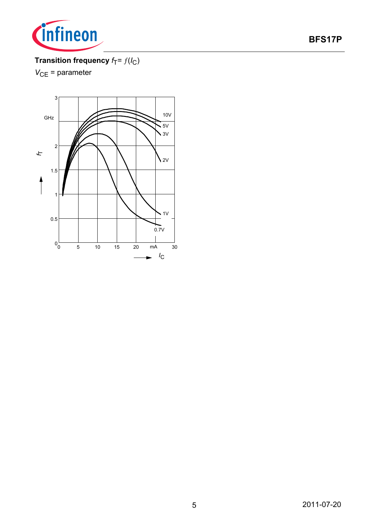

## **BFS17P**

## **Transition frequency**  $f_T = f(I_C)$

*V*<sub>CE</sub> = parameter

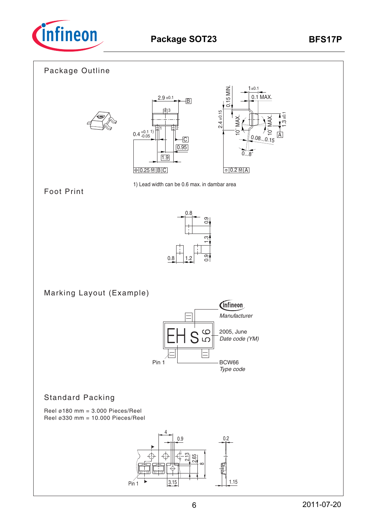